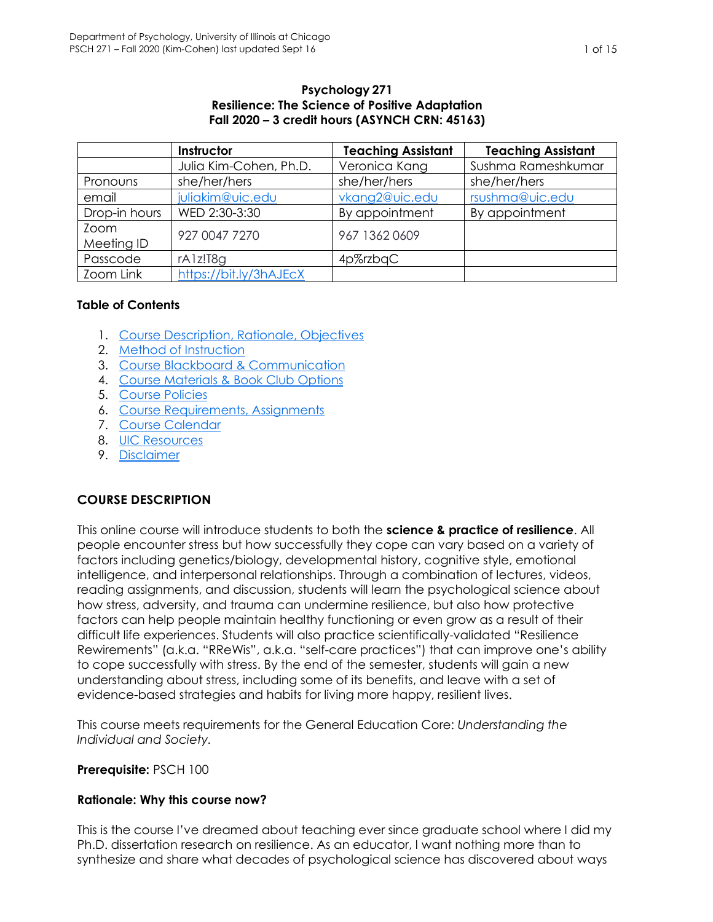#### **Psychology 271 Resilience: The Science of Positive Adaptation Fall 2020 – 3 credit hours (ASYNCH CRN: 45163)**

<span id="page-0-1"></span>

|               | Instructor             | <b>Teaching Assistant</b> | <b>Teaching Assistant</b> |
|---------------|------------------------|---------------------------|---------------------------|
|               | Julia Kim-Cohen, Ph.D. | Veronica Kang             | Sushma Rameshkumar        |
| Pronouns      | she/her/hers           | she/her/hers              | she/her/hers              |
| email         | juliakim@uic.edu       | vkang2@uic.edu            | rsushma@uic.edu           |
| Drop-in hours | WED 2:30-3:30          | By appointment            | By appointment            |
| Zoom          | 927 0047 7270          | 967 1362 0609             |                           |
| Meeting ID    |                        |                           |                           |
| Passcode      | rA1z!T8q               | 4p%rzbqC                  |                           |
| Zoom Link     | https://bit.ly/3hAJEcX |                           |                           |

### **Table of Contents**

- 1. [Course Description, Rationale, Objectives](#page-0-0)
- 2. [Method of Instruction](#page-1-0)
- 3. [Course Blackboard & Communication](#page-2-0)
- 4. [Course Materials](#page-3-0) & Book Club Options
- 5. [Course Policies](#page-4-0)
- 6. [Course Requirements, Assignments](#page-6-0)
- 7. [Course Calendar](#page-9-0)
- 8. [UIC Resources](#page-9-1)
- 9. [Disclaimer](#page-13-0)

# <span id="page-0-0"></span>**COURSE DESCRIPTION**

This online course will introduce students to both the **science & practice of resilience**. All people encounter stress but how successfully they cope can vary based on a variety of factors including genetics/biology, developmental history, cognitive style, emotional intelligence, and interpersonal relationships. Through a combination of lectures, videos, reading assignments, and discussion, students will learn the psychological science about how stress, adversity, and trauma can undermine resilience, but also how protective factors can help people maintain healthy functioning or even grow as a result of their difficult life experiences. Students will also practice scientifically-validated "Resilience Rewirements" (a.k.a. "RReWis", a.k.a. "self-care practices") that can improve one's ability to cope successfully with stress. By the end of the semester, students will gain a new understanding about stress, including some of its benefits, and leave with a set of evidence-based strategies and habits for living more happy, resilient lives.

This course meets requirements for the General Education Core: *Understanding the Individual and Society.*

#### **Prerequisite:** PSCH 100

### **Rationale: Why this course now?**

This is the course I've dreamed about teaching ever since graduate school where I did my Ph.D. dissertation research on resilience. As an educator, I want nothing more than to synthesize and share what decades of psychological science has discovered about ways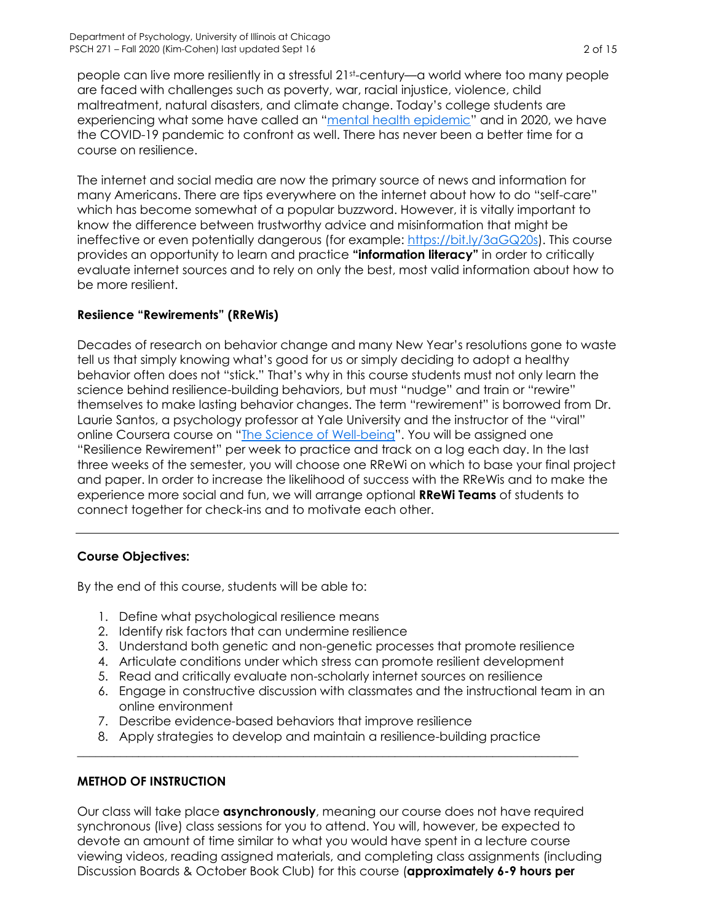people can live more resiliently in a stressful 21st-century—a world where too many people are faced with challenges such as poverty, war, racial injustice, violence, child maltreatment, natural disasters, and climate change. Today's college students are experiencing what some have called an "[mental health epidemic](https://www.npr.org/sections/health-shots/2019/05/28/727509438/college-students-and-their-parents-face-a-campus-mental-health-epidemic)" and in 2020, we have the COVID-19 pandemic to confront as well. There has never been a better time for a course on resilience.

The internet and social media are now the primary source of news and information for many Americans. There are tips everywhere on the internet about how to do "self-care" which has become somewhat of a popular buzzword. However, it is vitally important to know the difference between trustworthy advice and misinformation that might be ineffective or even potentially dangerous (for example: [https://bit.ly/3aGQ20s\)](https://bit.ly/3aGQ20s). This course provides an opportunity to learn and practice **"information literacy"** in order to critically evaluate internet sources and to rely on only the best, most valid information about how to be more resilient.

### **Resiience "Rewirements" (RReWis)**

Decades of research on behavior change and many New Year's resolutions gone to waste tell us that simply knowing what's good for us or simply deciding to adopt a healthy behavior often does not "stick." That's why in this course students must not only learn the science behind resilience-building behaviors, but must "nudge" and train or "rewire" themselves to make lasting behavior changes. The term "rewirement" is borrowed from Dr. Laurie Santos, a psychology professor at Yale University and the instructor of the "viral" online Coursera course on "[The Science of Well-being](https://www.coursera.org/learn/the-science-of-well-being?utm_source=gg&utm_medium=sem&utm_content=09-ScienceofWellBeing-US&campaignid=9728548210&adgroupid=99699672436&device=c&keyword=science%20of%20well%20being%20course&matchtype=b&network=g&devicemodel=&adpostion=&creativeid=428916120688&hide_mobile_promo&gclid=CjwKCAjw26H3BRB2EiwAy32zhTd_T4rSj1vxI-OLyzYUEWhiQjJ_TYDp92SaCvBP4Mz9U-_bPqqVCBoCDrQQAvD_BwE)". You will be assigned one "Resilience Rewirement" per week to practice and track on a log each day. In the last three weeks of the semester, you will choose one RReWi on which to base your final project and paper. In order to increase the likelihood of success with the RReWis and to make the experience more social and fun, we will arrange optional **RReWi Teams** of students to connect together for check-ins and to motivate each other.

# **Course Objectives:**

By the end of this course, students will be able to:

- 1. Define what psychological resilience means
- 2. Identify risk factors that can undermine resilience
- 3. Understand both genetic and non-genetic processes that promote resilience
- 4. Articulate conditions under which stress can promote resilient development
- 5. Read and critically evaluate non-scholarly internet sources on resilience
- 6. Engage in constructive discussion with classmates and the instructional team in an online environment
- 7. Describe evidence-based behaviors that improve resilience
- 8. Apply strategies to develop and maintain a resilience-building practice \_\_\_\_\_\_\_\_\_\_\_\_\_\_\_\_\_\_\_\_\_\_\_\_\_\_\_\_\_\_\_\_\_\_\_\_\_\_\_\_\_\_\_\_\_\_\_\_\_\_\_\_\_\_\_\_\_\_\_\_\_\_\_\_\_\_\_\_\_\_\_\_\_\_\_\_\_\_\_\_\_\_

# <span id="page-1-0"></span>**METHOD OF INSTRUCTION**

Our class will take place **asynchronously**, meaning our course does not have required synchronous (live) class sessions for you to attend. You will, however, be expected to devote an amount of time similar to what you would have spent in a lecture course viewing videos, reading assigned materials, and completing class assignments (including Discussion Boards & October Book Club) for this course (**approximately 6-9 hours per**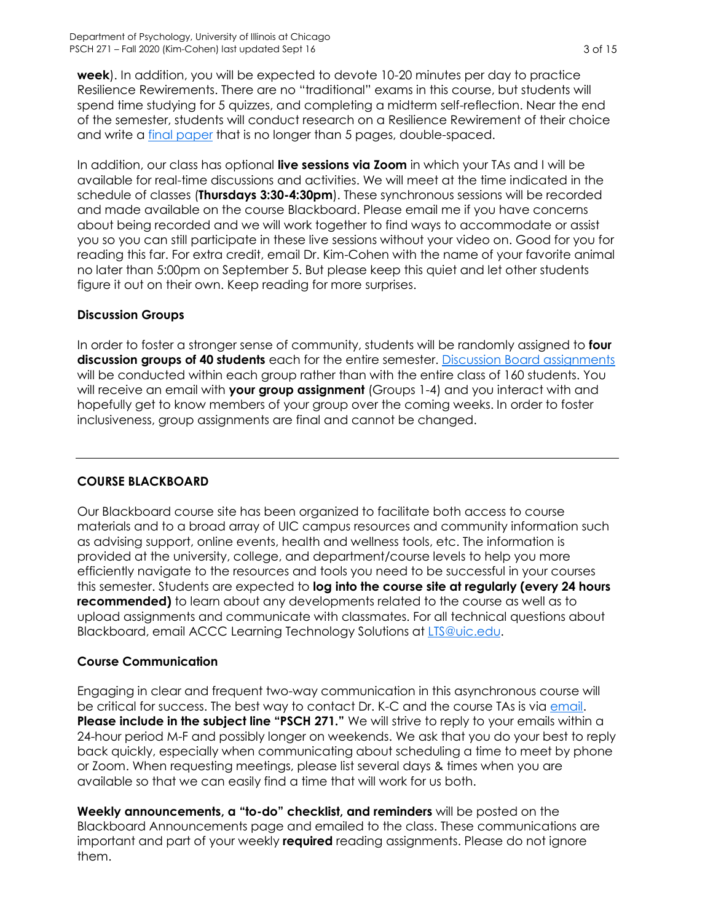**week**). In addition, you will be expected to devote 10-20 minutes per day to practice Resilience Rewirements. There are no "traditional" exams in this course, but students will spend time studying for 5 quizzes, and completing a midterm self-reflection. Near the end of the semester, students will conduct research on a Resilience Rewirement of their choice and write a [final paper](#page-8-0) that is no longer than 5 pages, double-spaced.

In addition, our class has optional **live sessions via Zoom** in which your TAs and I will be available for real-time discussions and activities. We will meet at the time indicated in the schedule of classes (**Thursdays 3:30-4:30pm**). These synchronous sessions will be recorded and made available on the course Blackboard. Please email me if you have concerns about being recorded and we will work together to find ways to accommodate or assist you so you can still participate in these live sessions without your video on. Good for you for reading this far. For extra credit, email Dr. Kim-Cohen with the name of your favorite animal no later than 5:00pm on September 5. But please keep this quiet and let other students figure it out on their own. Keep reading for more surprises.

# **Discussion Groups**

In order to foster a stronger sense of community, students will be randomly assigned to **four discussion groups of 40 students** each for the entire semester. [Discussion Board assignments](#page-6-1) will be conducted within each group rather than with the entire class of 160 students. You will receive an email with **your group assignment** (Groups 1-4) and you interact with and hopefully get to know members of your group over the coming weeks. In order to foster inclusiveness, group assignments are final and cannot be changed.

### <span id="page-2-0"></span>**COURSE BLACKBOARD**

Our Blackboard course site has been organized to facilitate both access to course materials and to a broad array of UIC campus resources and community information such as advising support, online events, health and wellness tools, etc. The information is provided at the university, college, and department/course levels to help you more efficiently navigate to the resources and tools you need to be successful in your courses this semester. Students are expected to **log into the course site at regularly (every 24 hours recommended)** to learn about any developments related to the course as well as to upload assignments and communicate with classmates. For all technical questions about Blackboard, email ACCC Learning Technology Solutions at [LTS@uic.edu.](mailto:LTS@uic.edu)

### **Course Communication**

Engaging in clear and frequent two-way communication in this asynchronous course will be critical for success. The best way to contact Dr. K-C and the course TAs is via [email.](#page-0-1) **Please include in the subject line "PSCH 271."** We will strive to reply to your emails within a 24-hour period M-F and possibly longer on weekends. We ask that you do your best to reply back quickly, especially when communicating about scheduling a time to meet by phone or Zoom. When requesting meetings, please list several days & times when you are available so that we can easily find a time that will work for us both.

**Weekly announcements, a "to-do" checklist, and reminders** will be posted on the Blackboard Announcements page and emailed to the class. These communications are important and part of your weekly **required** reading assignments. Please do not ignore them.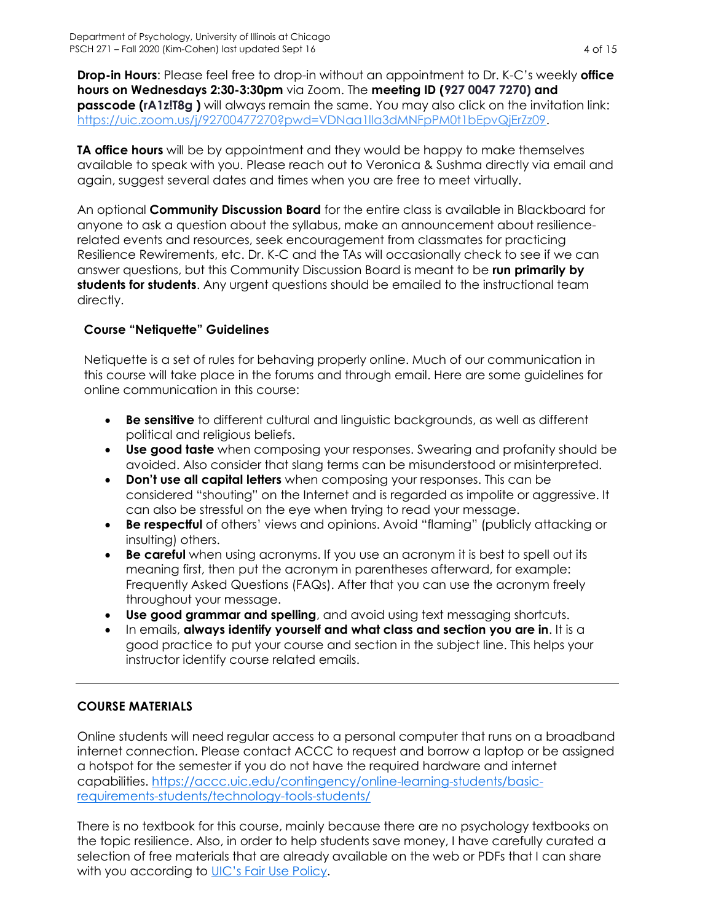**Drop-in Hours**: Please feel free to drop-in without an appointment to Dr. K-C's weekly **office hours on Wednesdays 2:30-3:30pm** via Zoom. The **meeting ID (927 0047 7270) and passcode (rA1z!T8g )** will always remain the same. You may also click on the invitation link: [https://uic.zoom.us/j/92700477270?pwd=VDNaa1lla3dMNFpPM0t1bEpvQjErZz09.](https://uic.zoom.us/j/92700477270?pwd=VDNaa1lla3dMNFpPM0t1bEpvQjErZz09)

**TA office hours** will be by appointment and they would be happy to make themselves available to speak with you. Please reach out to Veronica & Sushma directly via email and again, suggest several dates and times when you are free to meet virtually.

An optional **Community Discussion Board** for the entire class is available in Blackboard for anyone to ask a question about the syllabus, make an announcement about resiliencerelated events and resources, seek encouragement from classmates for practicing Resilience Rewirements, etc. Dr. K-C and the TAs will occasionally check to see if we can answer questions, but this Community Discussion Board is meant to be **run primarily by students for students**. Any urgent questions should be emailed to the instructional team directly.

### **Course "Netiquette" Guidelines**

Netiquette is a set of rules for behaving properly online. Much of our communication in this course will take place in the forums and through email. Here are some guidelines for online communication in this course:

- **Be sensitive** to different cultural and linguistic backgrounds, as well as different political and religious beliefs.
- **Use good taste** when composing your responses. Swearing and profanity should be avoided. Also consider that slang terms can be misunderstood or misinterpreted.
- **Don't use all capital letters** when composing your responses. This can be considered "shouting" on the Internet and is regarded as impolite or aggressive. It can also be stressful on the eye when trying to read your message.
- **Be respectful** of others' views and opinions. Avoid "flaming" (publicly attacking or insulting) others.
- **Be careful** when using acronyms. If you use an acronym it is best to spell out its meaning first, then put the acronym in parentheses afterward, for example: Frequently Asked Questions (FAQs). After that you can use the acronym freely throughout your message.
- **Use good grammar and spelling**, and avoid using text messaging shortcuts.
- In emails, **always identify yourself and what class and section you are in**. It is a good practice to put your course and section in the subject line. This helps your instructor identify course related emails.

# <span id="page-3-0"></span>**COURSE MATERIALS**

Online students will need regular access to a personal computer that runs on a broadband internet connection. Please contact ACCC to request and borrow a laptop or be assigned a hotspot for the semester if you do not have the required hardware and internet capabilities. [https://accc.uic.edu/contingency/online-learning-students/basic](https://accc.uic.edu/contingency/online-learning-students/basic-requirements-students/technology-tools-students/)[requirements-students/technology-tools-students/](https://accc.uic.edu/contingency/online-learning-students/basic-requirements-students/technology-tools-students/)

There is no textbook for this course, mainly because there are no psychology textbooks on the topic resilience. Also, in order to help students save money, I have carefully curated a selection of free materials that are already available on the web or PDFs that I can share with you according to [UIC's Fair Use Policy](https://researchguides.uic.edu/copyright/fairuse).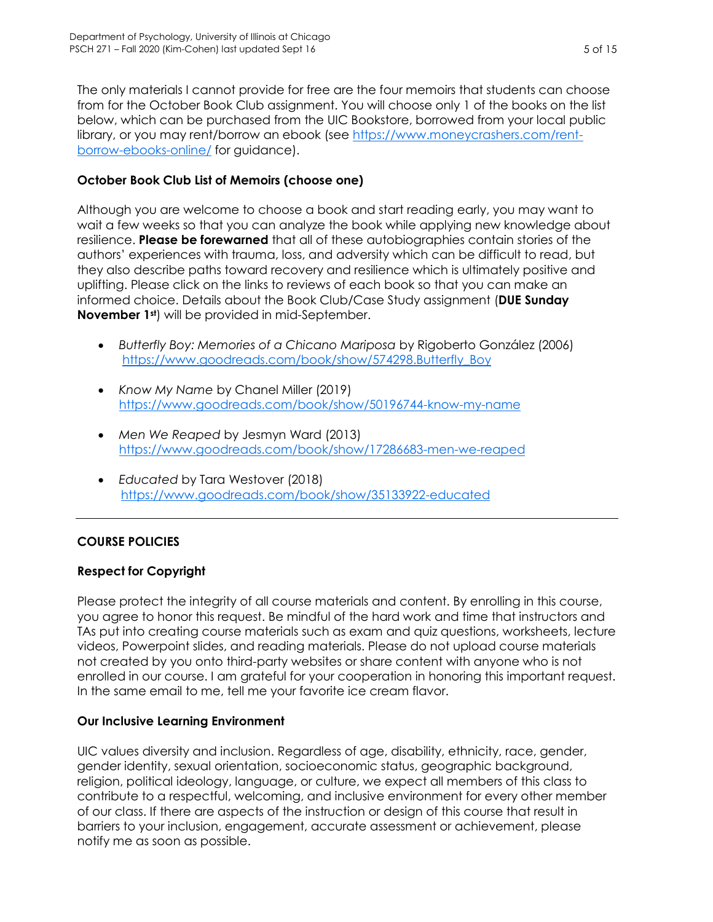The only materials I cannot provide for free are the four memoirs that students can choose from for the October Book Club assignment. You will choose only 1 of the books on the list below, which can be purchased from the UIC Bookstore, borrowed from your local public library, or you may rent/borrow an ebook (see [https://www.moneycrashers.com/rent](https://www.moneycrashers.com/rent-borrow-ebooks-online/)[borrow-ebooks-online/](https://www.moneycrashers.com/rent-borrow-ebooks-online/) for guidance).

# <span id="page-4-1"></span>**October Book Club List of Memoirs (choose one)**

Although you are welcome to choose a book and start reading early, you may want to wait a few weeks so that you can analyze the book while applying new knowledge about resilience. **Please be forewarned** that all of these autobiographies contain stories of the authors' experiences with trauma, loss, and adversity which can be difficult to read, but they also describe paths toward recovery and resilience which is ultimately positive and uplifting. Please click on the links to reviews of each book so that you can make an informed choice. Details about the Book Club/Case Study assignment (**DUE Sunday November 1st**) will be provided in mid-September.

- *Butterfly Boy: Memories of a Chicano Mariposa* by Rigoberto González (2006) [https://www.goodreads.com/book/show/574298.Butterfly\\_Boy](https://www.goodreads.com/book/show/574298.Butterfly_Boy)
- *Know My Name* by Chanel Miller (2019) <https://www.goodreads.com/book/show/50196744-know-my-name>
- *Men We Reaped* by Jesmyn Ward (2013) <https://www.goodreads.com/book/show/17286683-men-we-reaped>
- *Educated* by Tara Westover (2018) <https://www.goodreads.com/book/show/35133922-educated>

# <span id="page-4-0"></span>**COURSE POLICIES**

### **Respect for Copyright**

Please protect the integrity of all course materials and content. By enrolling in this course, you agree to honor this request. Be mindful of the hard work and time that instructors and TAs put into creating course materials such as exam and quiz questions, worksheets, lecture videos, Powerpoint slides, and reading materials. Please do not upload course materials not created by you onto third-party websites or share content with anyone who is not enrolled in our course. I am grateful for your cooperation in honoring this important request. In the same email to me, tell me your favorite ice cream flavor.

### **Our Inclusive Learning Environment**

UIC values diversity and inclusion. Regardless of age, disability, ethnicity, race, gender, gender identity, sexual orientation, socioeconomic status, geographic background, religion, political ideology, language, or culture, we expect all members of this class to contribute to a respectful, welcoming, and inclusive environment for every other member of our class. If there are aspects of the instruction or design of this course that result in barriers to your inclusion, engagement, accurate assessment or achievement, please notify me as soon as possible.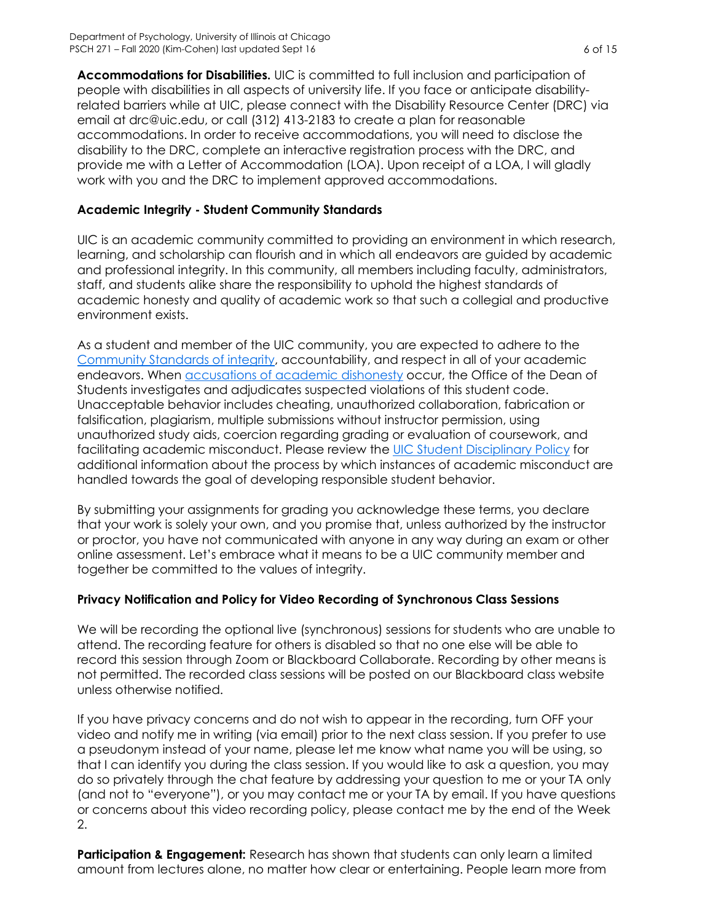**Accommodations for Disabilities.** UIC is committed to full inclusion and participation of people with disabilities in all aspects of university life. If you face or anticipate disabilityrelated barriers while at UIC, please connect with the Disability Resource Center (DRC) via email at drc@uic.edu, or call (312) 413-2183 to create a plan for reasonable accommodations. In order to receive accommodations, you will need to disclose the disability to the DRC, complete an interactive registration process with the DRC, and provide me with a Letter of Accommodation (LOA). Upon receipt of a LOA, I will gladly work with you and the DRC to implement approved accommodations.

### **Academic Integrity - Student Community Standards**

UIC is an academic community committed to providing an environment in which research, learning, and scholarship can flourish and in which all endeavors are guided by academic and professional integrity. In this community, all members including faculty, administrators, staff, and students alike share the responsibility to uphold the highest standards of academic honesty and quality of academic work so that such a collegial and productive environment exists.

As a student and member of the UIC community, you are expected to adhere to the [Community Standards of integrity,](https://dos.uic.edu/community-standards/) accountability, and respect in all of your academic endeavors. When [accusations of academic dishonesty](https://dos.uic.edu/community-standards/academic-integrity/) occur, the Office of the Dean of Students investigates and adjudicates suspected violations of this student code. Unacceptable behavior includes cheating, unauthorized collaboration, fabrication or falsification, plagiarism, multiple submissions without instructor permission, using unauthorized study aids, coercion regarding grading or evaluation of coursework, and facilitating academic misconduct. Please review the [UIC Student Disciplinary Policy](https://dos.uic.edu/wp-content/uploads/sites/262/2018/10/DOS-Student-Disciplinary-Policy-2018-2019-FINAL.pdf) for additional information about the process by which instances of academic misconduct are handled towards the goal of developing responsible student behavior.

By submitting your assignments for grading you acknowledge these terms, you declare that your work is solely your own, and you promise that, unless authorized by the instructor or proctor, you have not communicated with anyone in any way during an exam or other online assessment. Let's embrace what it means to be a UIC community member and together be committed to the values of integrity.

### **Privacy Notification and Policy for Video Recording of Synchronous Class Sessions**

We will be recording the optional live (synchronous) sessions for students who are unable to attend. The recording feature for others is disabled so that no one else will be able to record this session through Zoom or Blackboard Collaborate. Recording by other means is not permitted. The recorded class sessions will be posted on our Blackboard class website unless otherwise notified.

If you have privacy concerns and do not wish to appear in the recording, turn OFF your video and notify me in writing (via email) prior to the next class session. If you prefer to use a pseudonym instead of your name, please let me know what name you will be using, so that I can identify you during the class session. If you would like to ask a question, you may do so privately through the chat feature by addressing your question to me or your TA only (and not to "everyone"), or you may contact me or your TA by email. If you have questions or concerns about this video recording policy, please contact me by the end of the Week 2.

**Participation & Engagement:** Research has shown that students can only learn a limited amount from lectures alone, no matter how clear or entertaining. People learn more from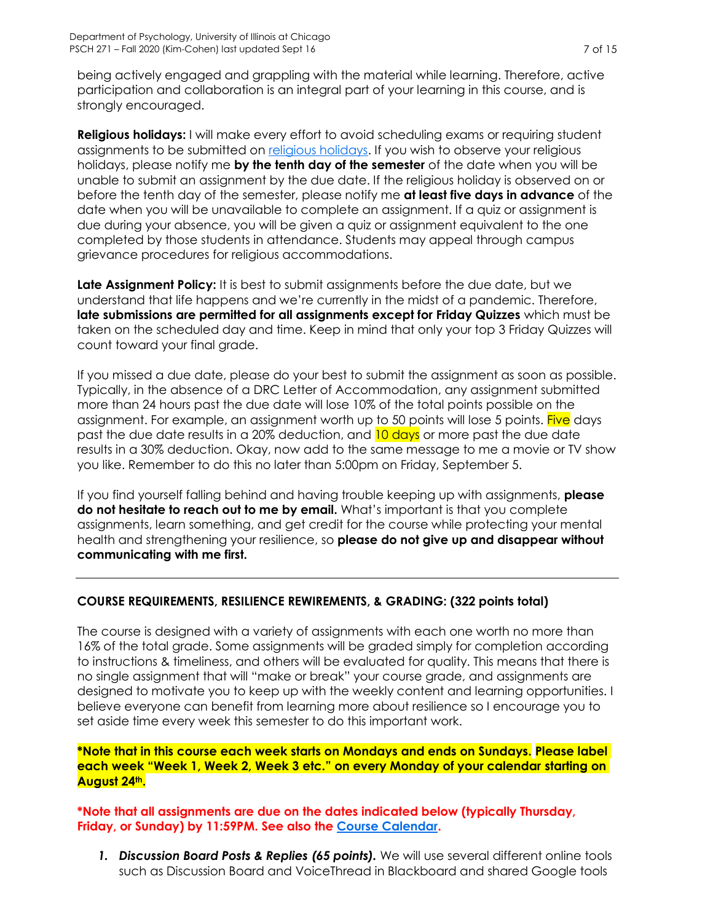being actively engaged and grappling with the material while learning. Therefore, active participation and collaboration is an integral part of your learning in this course, and is strongly encouraged.

**Religious holidays:** I will make every effort to avoid scheduling exams or requiring student assignments to be submitted on [religious holidays.](https://oae.uic.edu/religious-calendar/) If you wish to observe your religious holidays, please notify me **by the tenth day of the semester** of the date when you will be unable to submit an assignment by the due date. If the religious holiday is observed on or before the tenth day of the semester, please notify me **at least five days in advance** of the date when you will be unavailable to complete an assignment. If a quiz or assignment is due during your absence, you will be given a quiz or assignment equivalent to the one completed by those students in attendance. Students may appeal through campus grievance procedures for religious accommodations.

**Late Assignment Policy:** It is best to submit assignments before the due date, but we understand that life happens and we're currently in the midst of a pandemic. Therefore, **late submissions are permitted for all assignments except for Friday Quizzes** which must be taken on the scheduled day and time. Keep in mind that only your top 3 Friday Quizzes will count toward your final grade.

If you missed a due date, please do your best to submit the assignment as soon as possible. Typically, in the absence of a DRC Letter of Accommodation, any assignment submitted more than 24 hours past the due date will lose 10% of the total points possible on the assignment. For example, an assignment worth up to 50 points will lose 5 points. Five days past the due date results in a 20% deduction, and 10 days or more past the due date results in a 30% deduction. Okay, now add to the same message to me a movie or TV show you like. Remember to do this no later than 5:00pm on Friday, September 5.

If you find yourself falling behind and having trouble keeping up with assignments, **please do not hesitate to reach out to me by email.** What's important is that you complete assignments, learn something, and get credit for the course while protecting your mental health and strengthening your resilience, so **please do not give up and disappear without communicating with me first.**

### <span id="page-6-0"></span>**COURSE REQUIREMENTS, RESILIENCE REWIREMENTS, & GRADING: (322 points total)**

The course is designed with a variety of assignments with each one worth no more than 16% of the total grade. Some assignments will be graded simply for completion according to instructions & timeliness, and others will be evaluated for quality. This means that there is no single assignment that will "make or break" your course grade, and assignments are designed to motivate you to keep up with the weekly content and learning opportunities. I believe everyone can benefit from learning more about resilience so I encourage you to set aside time every week this semester to do this important work.

**\*Note that in this course each week starts on Mondays and ends on Sundays. Please label each week "Week 1, Week 2, Week 3 etc." on every Monday of your calendar starting on August 24th.**

**\*Note that all assignments are due on the dates indicated below (typically Thursday, Friday, or Sunday) by 11:59PM. See also the [Course Calendar.](#page-9-0)**

<span id="page-6-1"></span>*1. Discussion Board Posts & Replies (65 points).* We will use several different online tools such as Discussion Board and VoiceThread in Blackboard and shared Google tools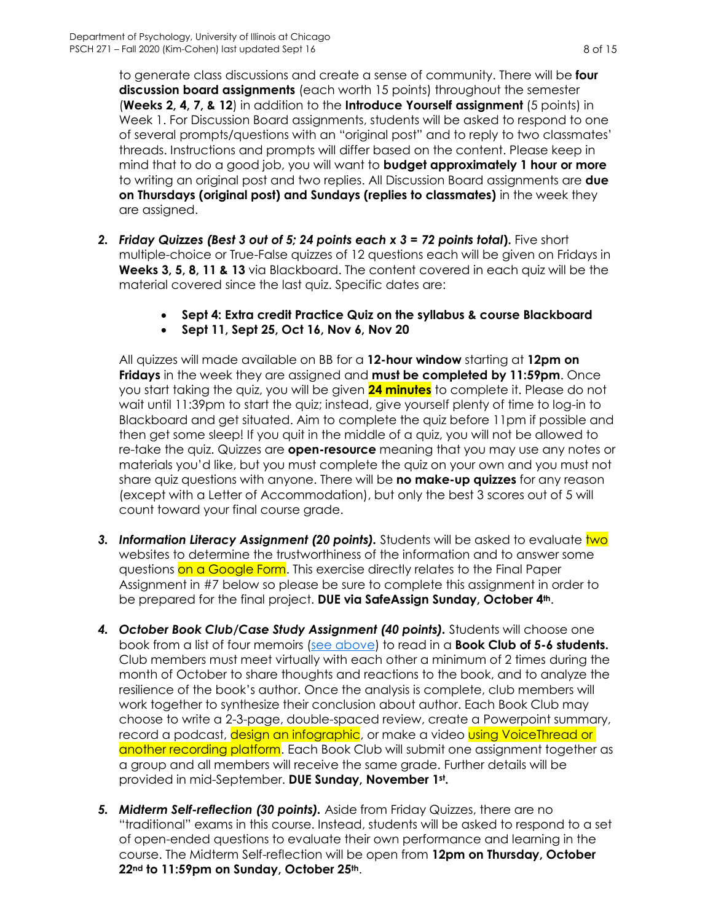to generate class discussions and create a sense of community. There will be **four discussion board assignments** (each worth 15 points) throughout the semester (**Weeks 2, 4, 7, & 12**) in addition to the **Introduce Yourself assignment** (5 points) in Week 1. For Discussion Board assignments, students will be asked to respond to one of several prompts/questions with an "original post" and to reply to two classmates' threads. Instructions and prompts will differ based on the content. Please keep in mind that to do a good job, you will want to **budget approximately 1 hour or more** to writing an original post and two replies. All Discussion Board assignments are **due on Thursdays (original post) and Sundays (replies to classmates)** in the week they are assigned.

- *2. Friday Quizzes (Best 3 out of 5; 24 points each x 3 = 72 points total***).** Five short multiple-choice or True-False quizzes of 12 questions each will be given on Fridays in **Weeks 3, 5, 8, 11 & 13** via Blackboard. The content covered in each quiz will be the material covered since the last quiz. Specific dates are:
	- **Sept 4: Extra credit Practice Quiz on the syllabus & course Blackboard**
	- **Sept 11, Sept 25, Oct 16, Nov 6, Nov 20**

All quizzes will made available on BB for a **12-hour window** starting at **12pm on Fridays** in the week they are assigned and **must be completed by 11:59pm**. Once you start taking the quiz, you will be given **24 minutes** to complete it. Please do not wait until 11:39pm to start the quiz; instead, give yourself plenty of time to log-in to Blackboard and get situated. Aim to complete the quiz before 11pm if possible and then get some sleep! If you quit in the middle of a quiz, you will not be allowed to re-take the quiz. Quizzes are **open-resource** meaning that you may use any notes or materials you'd like, but you must complete the quiz on your own and you must not share quiz questions with anyone. There will be **no make-up quizzes** for any reason (except with a Letter of Accommodation), but only the best 3 scores out of 5 will count toward your final course grade.

- **3. Information Literacy Assignment (20 points).** Students will be asked to evaluate two websites to determine the trustworthiness of the information and to answer some questions on a Google Form. This exercise directly relates to the Final Paper Assignment in #7 below so please be sure to complete this assignment in order to be prepared for the final project. **DUE via SafeAssign Sunday, October 4th**.
- *4. October Book Club/Case Study Assignment (40 points).* Students will choose one book from a list of four memoirs (see [above\)](#page-4-1) to read in a **Book Club of 5-6 students.** Club members must meet virtually with each other a minimum of 2 times during the month of October to share thoughts and reactions to the book, and to analyze the resilience of the book's author. Once the analysis is complete, club members will work together to synthesize their conclusion about author. Each Book Club may choose to write a 2-3-page, double-spaced review, create a Powerpoint summary, record a podcast, <mark>design an infographic</mark>, or make a video <mark>using VoiceThread or</mark> another recording platform. Each Book Club will submit one assignment together as a group and all members will receive the same grade. Further details will be provided in mid-September. **DUE Sunday, November 1st .**
- *5. Midterm Self-reflection (30 points).* Aside from Friday Quizzes, there are no "traditional" exams in this course. Instead, students will be asked to respond to a set of open-ended questions to evaluate their own performance and learning in the course. The Midterm Self-reflection will be open from **12pm on Thursday, October 22nd to 11:59pm on Sunday, October 25th**.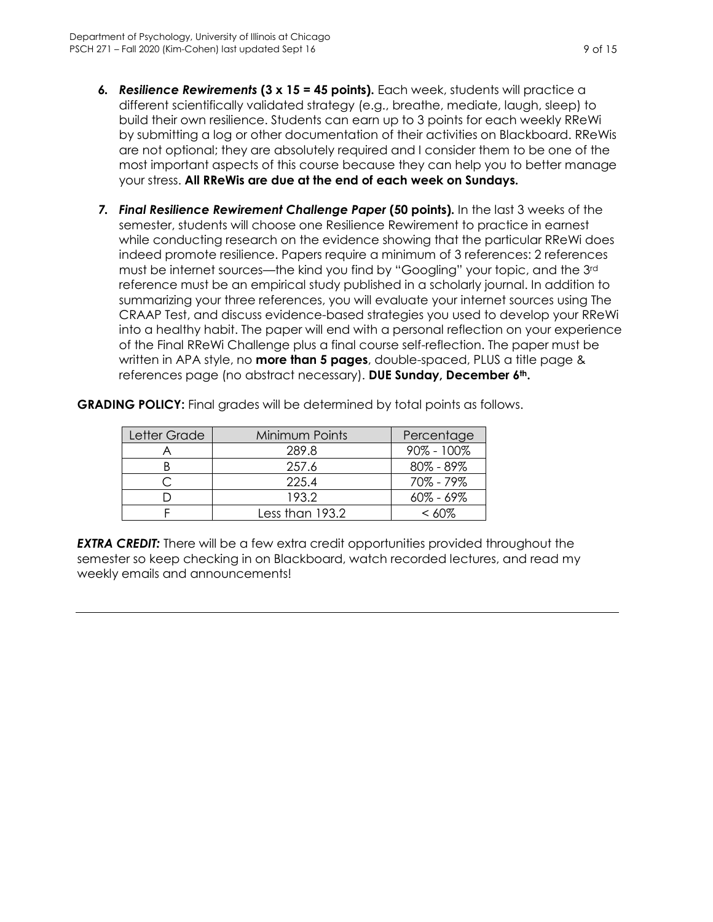- *6. Resilience Rewirements* **(3 x 15 = 45 points).** Each week, students will practice a different scientifically validated strategy (e.g., breathe, mediate, laugh, sleep) to build their own resilience. Students can earn up to 3 points for each weekly RReWi by submitting a log or other documentation of their activities on Blackboard. RReWis are not optional; they are absolutely required and I consider them to be one of the most important aspects of this course because they can help you to better manage your stress. **All RReWis are due at the end of each week on Sundays.**
- <span id="page-8-0"></span>*7. Final Resilience Rewirement Challenge Paper* **(50 points).** In the last 3 weeks of the semester, students will choose one Resilience Rewirement to practice in earnest while conducting research on the evidence showing that the particular RReWi does indeed promote resilience. Papers require a minimum of 3 references: 2 references must be internet sources—the kind you find by "Googling" your topic, and the 3rd reference must be an empirical study published in a scholarly journal. In addition to summarizing your three references, you will evaluate your internet sources using The CRAAP Test, and discuss evidence-based strategies you used to develop your RReWi into a healthy habit. The paper will end with a personal reflection on your experience of the Final RReWi Challenge plus a final course self-reflection. The paper must be written in APA style, no **more than 5 pages**, double-spaced, PLUS a title page & references page (no abstract necessary). **DUE Sunday, December 6th.**

| Letter Grade | Minimum Points  | Percentage     |
|--------------|-----------------|----------------|
|              | 289.8           | $90\% - 100\%$ |
|              | 257.6           | $80\% - 89\%$  |
|              | 225.4           | 70% - 79%      |
|              | 193.2           | $60\% - 69\%$  |
|              | Less than 193.2 | <  ለበ%         |

**GRADING POLICY:** Final grades will be determined by total points as follows.

*EXTRA CREDIT:* There will be a few extra credit opportunities provided throughout the semester so keep checking in on Blackboard, watch recorded lectures, and read my weekly emails and announcements!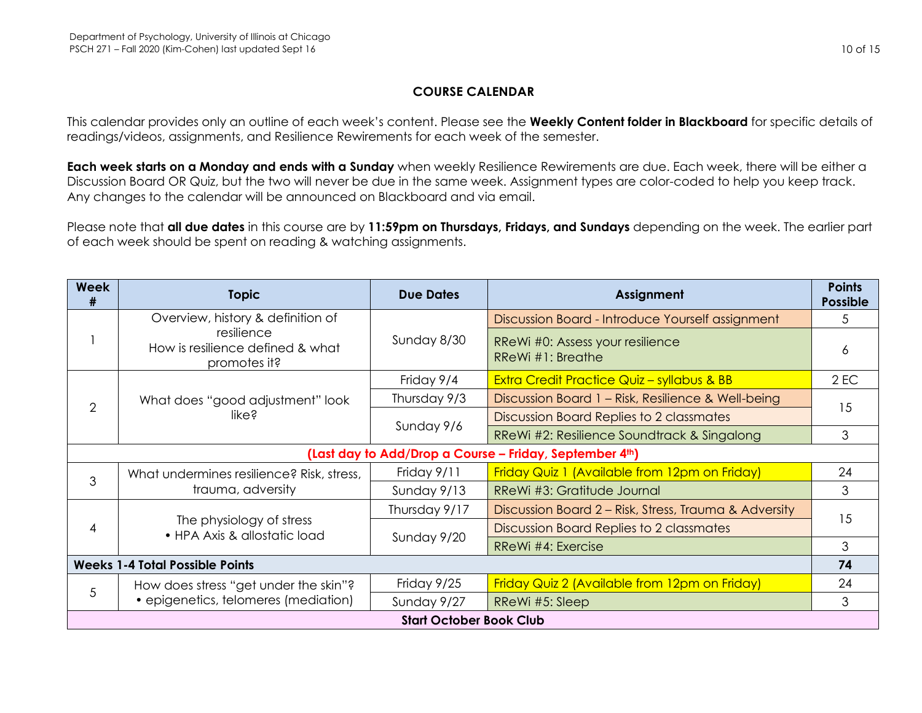### **COURSE CALENDAR**

This calendar provides only an outline of each week's content. Please see the **Weekly Content folder in Blackboard** for specific details of readings/videos, assignments, and Resilience Rewirements for each week of the semester.

**Each week starts on a Monday and ends with a Sunday** when weekly Resilience Rewirements are due. Each week, there will be either a Discussion Board OR Quiz, but the two will never be due in the same week. Assignment types are color-coded to help you keep track. Any changes to the calendar will be announced on Blackboard and via email.

Please note that **all due dates** in this course are by **11:59pm on Thursdays, Fridays, and Sundays** depending on the week. The earlier part of each week should be spent on reading & watching assignments.

<span id="page-9-1"></span><span id="page-9-0"></span>

| <b>Week</b><br>#                                        | <b>Topic</b>                                                                  | <b>Due Dates</b> | Assignment                                                  | <b>Points</b><br><b>Possible</b> |
|---------------------------------------------------------|-------------------------------------------------------------------------------|------------------|-------------------------------------------------------------|----------------------------------|
|                                                         | Overview, history & definition of                                             | Sunday 8/30      | Discussion Board - Introduce Yourself assignment            | 5                                |
|                                                         | resilience<br>How is resilience defined & what<br>promotes it?                |                  | RReWi #0: Assess your resilience<br>$R$ ReWi $#1$ : Breathe | 6                                |
| 2                                                       | What does "good adjustment" look<br>like?                                     | Friday 9/4       | <b>Extra Credit Practice Quiz - syllabus &amp; BB</b>       | $2$ EC                           |
|                                                         |                                                                               | Thursday 9/3     | Discussion Board 1 - Risk, Resilience & Well-being          | 15                               |
|                                                         |                                                                               | Sunday 9/6       | Discussion Board Replies to 2 classmates                    |                                  |
|                                                         |                                                                               |                  | RReWi #2: Resilience Soundtrack & Singalong                 | 3                                |
| (Last day to Add/Drop a Course - Friday, September 4th) |                                                                               |                  |                                                             |                                  |
| 3                                                       | What undermines resilience? Risk, stress,<br>trauma, adversity                | Friday 9/11      | Friday Quiz 1 (Available from 12pm on Friday)               | 24                               |
|                                                         |                                                                               | Sunday 9/13      | RReWi #3: Gratitude Journal                                 | 3                                |
| 4                                                       | The physiology of stress<br>• HPA Axis & allostatic load                      | Thursday 9/17    | Discussion Board 2 – Risk, Stress, Trauma & Adversity       | 15                               |
|                                                         |                                                                               | Sunday 9/20      | Discussion Board Replies to 2 classmates                    |                                  |
|                                                         |                                                                               |                  | RReWi #4: Exercise                                          | 3                                |
| <b>Weeks 1-4 Total Possible Points</b>                  |                                                                               |                  | 74                                                          |                                  |
| 5                                                       | How does stress "get under the skin"?<br>• epigenetics, telomeres (mediation) | Friday 9/25      | Friday Quiz 2 (Available from 12pm on Friday)               | 24                               |
|                                                         |                                                                               | Sunday 9/27      | RReWi #5: Sleep                                             | 3                                |
| <b>Start October Book Club</b>                          |                                                                               |                  |                                                             |                                  |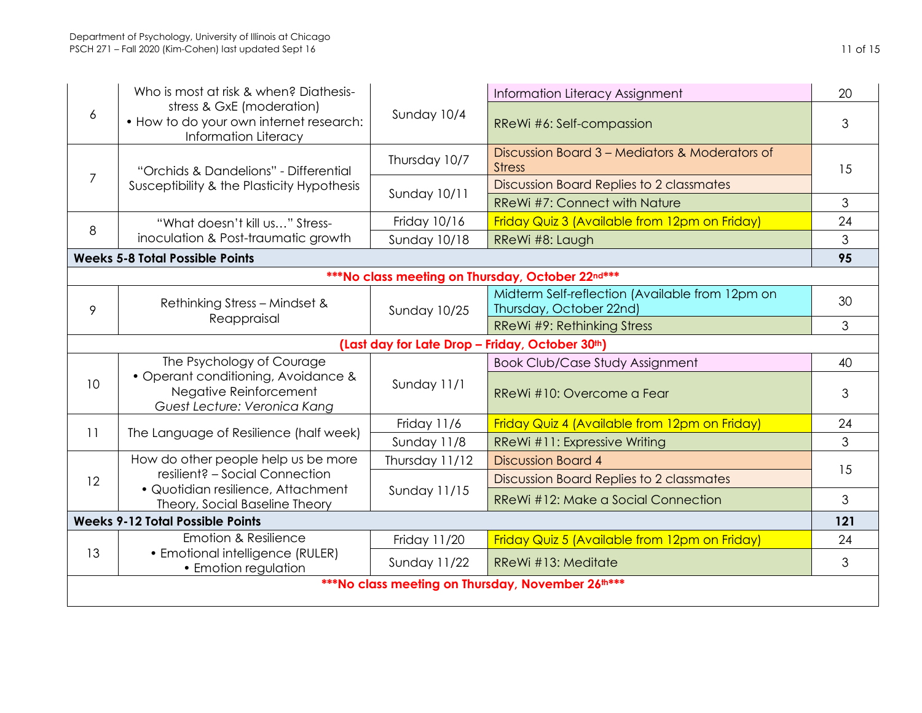|                                                   | Who is most at risk & when? Diathesis-                                                        |                     | Information Literacy Assignment                                            | 20  |  |
|---------------------------------------------------|-----------------------------------------------------------------------------------------------|---------------------|----------------------------------------------------------------------------|-----|--|
| 6                                                 | stress & GxE (moderation)<br>• How to do your own internet research:<br>Information Literacy  | Sunday 10/4         | RReWi #6: Self-compassion                                                  | 3   |  |
|                                                   | "Orchids & Dandelions" - Differential                                                         | Thursday 10/7       | Discussion Board 3 – Mediators & Moderators of<br><b>Stress</b>            | 15  |  |
| $\overline{7}$                                    | Susceptibility & the Plasticity Hypothesis                                                    | <b>Sunday 10/11</b> | Discussion Board Replies to 2 classmates                                   |     |  |
| 8                                                 |                                                                                               |                     | RReWi #7: Connect with Nature                                              | 3   |  |
|                                                   | "What doesn't kill us" Stress-                                                                | Friday 10/16        | Friday Quiz 3 (Available from 12pm on Friday)                              | 24  |  |
|                                                   | inoculation & Post-traumatic growth                                                           | <b>Sunday 10/18</b> | RReWi #8: Laugh                                                            | 3   |  |
| <b>Weeks 5-8 Total Possible Points</b>            |                                                                                               |                     | 95                                                                         |     |  |
|                                                   | *** No class meeting on Thursday, October 22nd***                                             |                     |                                                                            |     |  |
| 9                                                 | Rethinking Stress - Mindset &                                                                 | <b>Sunday 10/25</b> | Midterm Self-reflection (Available from 12pm on<br>Thursday, October 22nd) | 30  |  |
|                                                   | Reappraisal                                                                                   |                     | RReWi #9: Rethinking Stress                                                | 3   |  |
|                                                   |                                                                                               |                     | (Last day for Late Drop - Friday, October 30th)                            |     |  |
|                                                   | The Psychology of Courage                                                                     |                     | <b>Book Club/Case Study Assignment</b>                                     | 40  |  |
| 10                                                | • Operant conditioning, Avoidance &<br>Negative Reinforcement<br>Guest Lecture: Veronica Kang | Sunday 11/1         | RReWi #10: Overcome a Fear                                                 | 3   |  |
|                                                   |                                                                                               | Friday 11/6         | Friday Quiz 4 (Available from 12pm on Friday)                              | 24  |  |
| 11                                                | The Language of Resilience (half week)                                                        | Sunday 11/8         | RReWi #11: Expressive Writing                                              | 3   |  |
|                                                   | How do other people help us be more<br>resilient? - Social Connection                         | Thursday 11/12      | <b>Discussion Board 4</b>                                                  | 15  |  |
| 12                                                |                                                                                               | <b>Sunday 11/15</b> | Discussion Board Replies to 2 classmates                                   |     |  |
|                                                   | · Quotidian resilience, Attachment<br>Theory, Social Baseline Theory                          |                     | RReWi #12: Make a Social Connection                                        | 3   |  |
|                                                   | <b>Weeks 9-12 Total Possible Points</b>                                                       |                     |                                                                            | 121 |  |
|                                                   | <b>Emotion &amp; Resilience</b>                                                               | Friday 11/20        | Friday Quiz 5 (Available from 12pm on Friday)                              | 24  |  |
| 13                                                | • Emotional intelligence (RULER)<br>• Emotion regulation                                      | <b>Sunday 11/22</b> | RReWi #13: Meditate                                                        | 3   |  |
| ***No class meeting on Thursday, November 26th*** |                                                                                               |                     |                                                                            |     |  |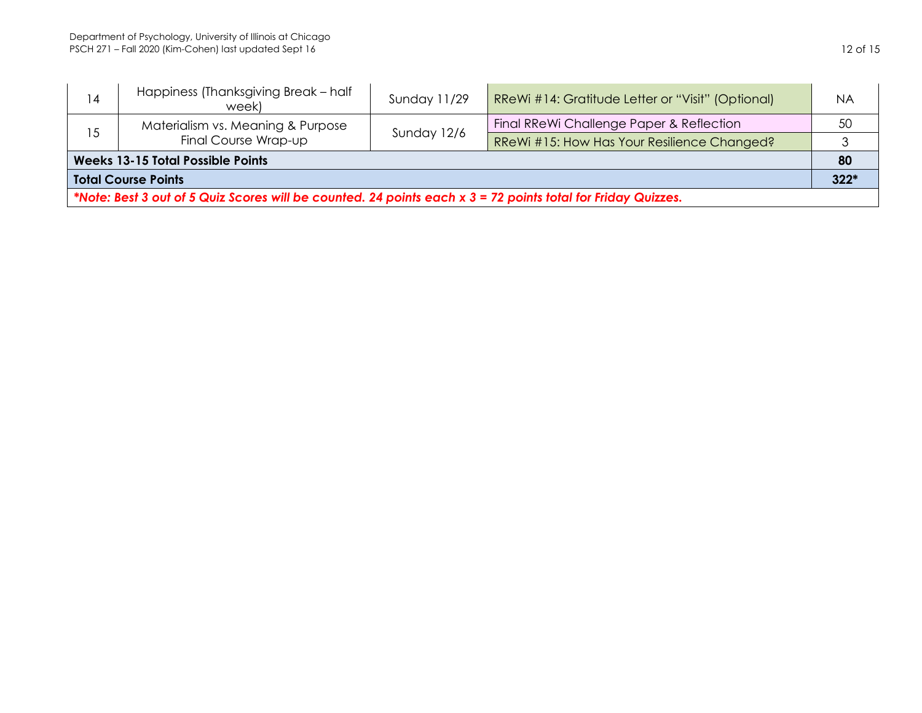| 14                                                                                                           | Happiness (Thanksgiving Break - half<br>week)             | Sunday 11/29 | RReWi #14: Gratitude Letter or "Visit" (Optional) | <b>NA</b> |
|--------------------------------------------------------------------------------------------------------------|-----------------------------------------------------------|--------------|---------------------------------------------------|-----------|
| 15                                                                                                           | Materialism vs. Meaning & Purpose<br>Final Course Wrap-up | Sunday 12/6  | Final RReWi Challenge Paper & Reflection          | 50        |
|                                                                                                              |                                                           |              | RReWi #15: How Has Your Resilience Changed?       |           |
| <b>Weeks 13-15 Total Possible Points</b>                                                                     |                                                           |              | 80                                                |           |
| <b>Total Course Points</b>                                                                                   |                                                           |              | $322*$                                            |           |
| *Note: Best 3 out of 5 Quiz Scores will be counted. 24 points each x 3 = 72 points total for Friday Quizzes. |                                                           |              |                                                   |           |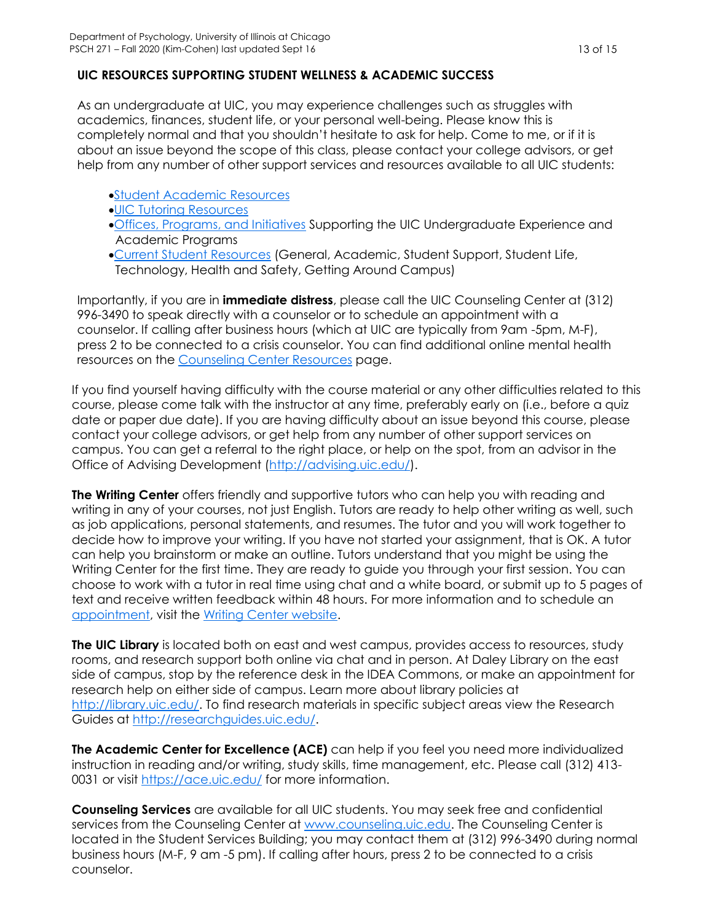### **UIC RESOURCES SUPPORTING STUDENT WELLNESS & ACADEMIC SUCCESS**

As an undergraduate at UIC, you may experience challenges such as struggles with academics, finances, student life, or your personal well-being. Please know this is completely normal and that you shouldn't hesitate to ask for help. Come to me, or if it is about an issue beyond the scope of this class, please contact your college advisors, or get help from any number of other support services and resources available to all UIC students:

- [Student Academic Resources](https://provost.uic.edu/student-resources/)
- [UIC Tutoring Resources](https://tutoring.uic.edu/)
- [Offices, Programs, and Initiatives](https://vpuaap.uic.edu/offices-and-programs/) Supporting the UIC Undergraduate Experience and Academic Programs
- Current [Student Resources](https://today.uic.edu/resources/current-students) (General, Academic, Student Support, Student Life, Technology, Health and Safety, Getting Around Campus)

Importantly, if you are in **immediate distress**, please call the UIC Counseling Center at (312) 996-3490 to speak directly with a counselor or to schedule an appointment with a counselor. If calling after business hours (which at UIC are typically from 9am -5pm, M-F), press 2 to be connected to a crisis counselor. You can find additional online mental health resources on the [Counseling Center Resources](file://///users/VeronicaYounKang/Library/Containers/com.apple.mail/Data/Library/Mail%20Downloads/881FACF4-1C6B-407A-93CB-744B7F7CE18E/Importantly,%20if%20you%20are%20in%20immediate%20distress,%20please%20call%20the%20UIC%20Counseling%20Center%20at%20(312)%20996-3490%20to%20speak%20directly%20with%20a%20counselor%20or%20to%20schedule%20an%20appointment%20with%20a%20counselor.%20%20If%20calling%20after%20business%20hours%20(which%20at%20UIC%20are%20typically%20from%209%20am%20-5%20pm,%20M-F),%20press%202%20to%20be%20connected%20to%20a%20crisis%20counselor.%20You%20can%20find%20additional%20online%20mental%20health%20resources%20on%20the%20Counseling%20Center%20Resourcespage.) page.

If you find yourself having difficulty with the course material or any other difficulties related to this course, please come talk with the instructor at any time, preferably early on (i.e., before a quiz date or paper due date). If you are having difficulty about an issue beyond this course, please contact your college advisors, or get help from any number of other support services on campus. You can get a referral to the right place, or help on the spot, from an advisor in the Office of Advising Development [\(http://advising.uic.edu/\)](http://advising.uic.edu/).

**The Writing Center** offers friendly and supportive tutors who can help you with reading and writing in any of your courses, not just English. Tutors are ready to help other writing as well, such as job applications, personal statements, and resumes. The tutor and you will work together to decide how to improve your writing. If you have not started your assignment, that is OK. A tutor can help you brainstorm or make an outline. Tutors understand that you might be using the Writing Center for the first time. They are ready to guide you through your first session. You can choose to work with a tutor in real time using chat and a white board, or submit up to 5 pages of text and receive written feedback within 48 hours. For more information and to schedule an [appointment,](https://uic.mywconline.com/) visit the [Writing Center website.](https://writingcenter.uic.edu/)

**The UIC Library** is located both on east and west campus, provides access to resources, study rooms, and research support both online via chat and in person. At Daley Library on the east side of campus, stop by the reference desk in the IDEA Commons, or make an appointment for research help on either side of campus. Learn more about library policies at [http://library.uic.edu/.](http://library.uic.edu/) To find research materials in specific subject areas view the Research Guides at [http://researchguides.uic.edu/.](http://researchguides.uic.edu/)

**The Academic Center for Excellence (ACE)** can help if you feel you need more individualized instruction in reading and/or writing, study skills, time management, etc. Please call (312) 413 0031 or visit<https://ace.uic.edu/> for more information.

**Counseling Services** are available for all UIC students. You may seek free and confidential services from the Counseling Center at [www.counseling.uic.edu.](http://www.counseling.uic.edu/) The Counseling Center is located in the Student Services Building; you may contact them at (312) 996-3490 during normal business hours (M-F, 9 am -5 pm). If calling after hours, press 2 to be connected to a crisis counselor.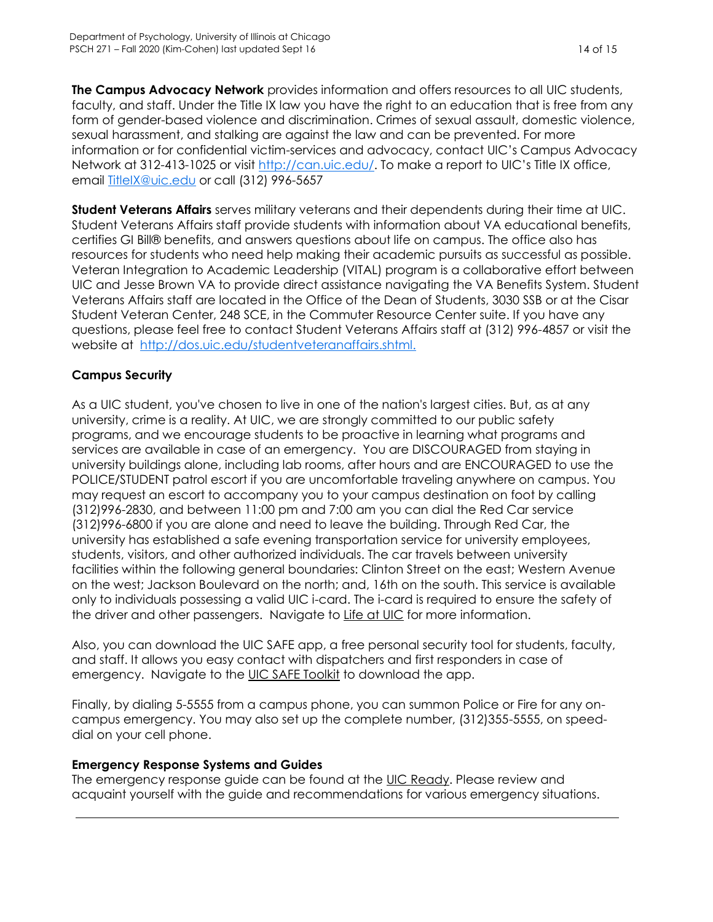**The Campus Advocacy Network** provides information and offers resources to all UIC students, faculty, and staff. Under the Title IX law you have the right to an education that is free from any form of gender-based violence and discrimination. Crimes of sexual assault, domestic violence, sexual harassment, and stalking are against the law and can be prevented. For more information or for confidential victim-services and advocacy, contact UIC's Campus Advocacy Network at 312-413-1025 or visit<http://can.uic.edu/>. To make a report to UIC's Title IX office, email [TitleIX@uic.edu](mailto:TitleIX@uic.edu) or call (312) 996-5657

**Student Veterans Affairs** serves military veterans and their dependents during their time at UIC. Student Veterans Affairs staff provide students with information about VA educational benefits, certifies GI Bill® benefits, and answers questions about life on campus. The office also has resources for students who need help making their academic pursuits as successful as possible. Veteran Integration to Academic Leadership (VITAL) program is a collaborative effort between UIC and Jesse Brown VA to provide direct assistance navigating the VA Benefits System. Student Veterans Affairs staff are located in the Office of the Dean of Students, 3030 SSB or at the Cisar Student Veteran Center, 248 SCE, in the Commuter Resource Center suite. If you have any questions, please feel free to contact Student Veterans Affairs staff at (312) 996-4857 or visit the website at [http://dos.uic.edu/studentveteranaffairs.shtml.](http://dos.uic.edu/studentveteranaffairs.shtml)

### **Campus Security**

As a UIC student, you've chosen to live in one of the nation's largest cities. But, as at any university, crime is a reality. At UIC, we are strongly committed to our public safety programs, and we encourage students to be proactive in learning what programs and services are available in case of an emergency. You are DISCOURAGED from staying in university buildings alone, including lab rooms, after hours and are ENCOURAGED to use the POLICE/STUDENT patrol escort if you are uncomfortable traveling anywhere on campus. You may request an escort to accompany you to your campus destination on foot by calling (312)996-2830, and between 11:00 pm and 7:00 am you can dial the Red Car service (312)996-6800 if you are alone and need to leave the building. Through Red Car, the university has established a safe evening transportation service for university employees, students, visitors, and other authorized individuals. The car travels between university facilities within the following general boundaries: Clinton Street on the east; Western Avenue on the west; Jackson Boulevard on the north; and, 16th on the south. This service is available only to individuals possessing a valid UIC i-card. The i-card is required to ensure the safety of the driver and other passengers. Navigate to [Life at UIC](http://www.uic.edu/uic/studentlife/campus/safety.shtml) for more information.

Also, you can download the UIC SAFE app, a free personal security tool for students, faculty, and staff. It allows you easy contact with dispatchers and first responders in case of emergency. Navigate to the [UIC SAFE Toolkit](https://ready.uic.edu/digital-materials/uic-safe-app/) to download the app.

Finally, by dialing 5-5555 from a campus phone, you can summon Police or Fire for any oncampus emergency. You may also set up the complete number, (312)355-5555, on speeddial on your cell phone.

### **Emergency Response Systems and Guides**

<span id="page-13-0"></span>The emergency response guide can be found at the [UIC Ready.](https://ready.uic.edu/) Please review and acquaint yourself with the guide and recommendations for various emergency situations.